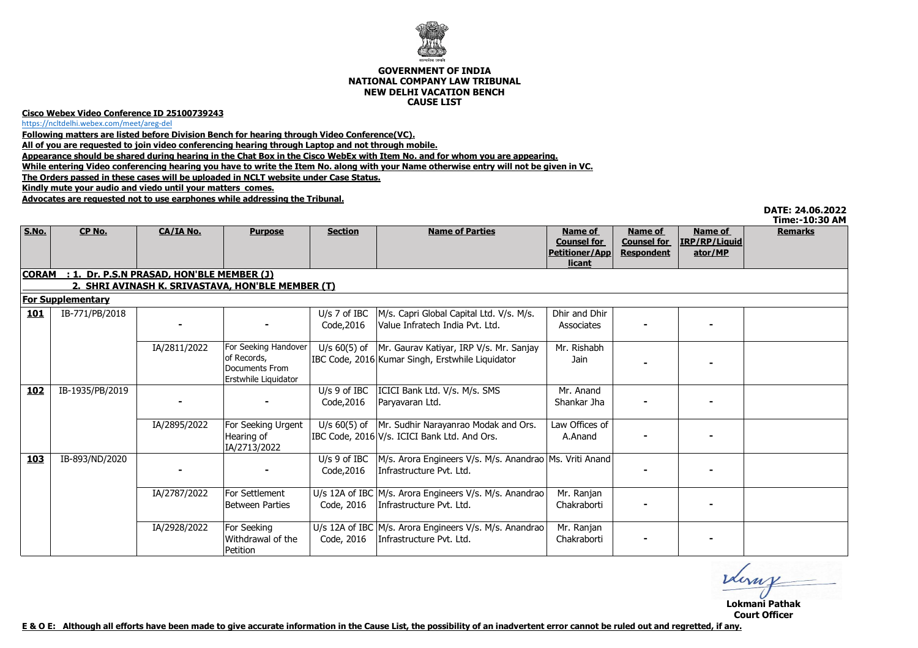

## **GOVERNMENT OF INDIA NATIONAL COMPANY LAW TRIBUNALNEW DELHI VACATION BENCHCAUSE LIST**

## **Cisco Webex Video Conference ID 25100739243**

https://ncltdelhi.webex.com/meet/areg-del

**Following matters are listed before Division Bench for hearing through Video Conference(VC).**

**All of you are requested to join video conferencing hearing through Laptop and not through mobile.**

**Appearance should be shared during hearing in the Chat Box in the Cisco WebEx with Item No. and for whom you are appearing.**

**While entering Video conferencing hearing you have to write the Item No. along with your Name otherwise entry will not be given in VC.**

**The Orders passed in these cases will be uploaded in NCLT website under Case Status.**

**Kindly mute your audio and viedo until your matters comes.**

**Advocates are requested not to use earphones while addressing the Tribunal.**

| DATE: 24.06.2022 |  |  |
|------------------|--|--|
|                  |  |  |

|                          |                                                           |              |                                                       |                              |                                                                                         |                                                                  |                                                    |                                     | Time:-10:30 AM |  |  |  |  |  |
|--------------------------|-----------------------------------------------------------|--------------|-------------------------------------------------------|------------------------------|-----------------------------------------------------------------------------------------|------------------------------------------------------------------|----------------------------------------------------|-------------------------------------|----------------|--|--|--|--|--|
| <b>S.No.</b>             | CP No.                                                    | CA/IA No.    | <b>Purpose</b>                                        | <b>Section</b>               | <b>Name of Parties</b>                                                                  | Name of<br><b>Counsel for</b><br><b>Petitioner/App</b><br>licant | Name of<br><b>Counsel for</b><br><b>Respondent</b> | Name of<br>IRP/RP/Liquid<br>ator/MP | <b>Remarks</b> |  |  |  |  |  |
|                          | : 1. Dr. P.S.N PRASAD, HON'BLE MEMBER (J)<br><b>CORAM</b> |              |                                                       |                              |                                                                                         |                                                                  |                                                    |                                     |                |  |  |  |  |  |
|                          | 2. SHRI AVINASH K. SRIVASTAVA, HON'BLE MEMBER (T)         |              |                                                       |                              |                                                                                         |                                                                  |                                                    |                                     |                |  |  |  |  |  |
| <b>For Supplementary</b> |                                                           |              |                                                       |                              |                                                                                         |                                                                  |                                                    |                                     |                |  |  |  |  |  |
| <b>101</b>               | IB-771/PB/2018                                            |              |                                                       | U/s $7$ of IBC               | M/s. Capri Global Capital Ltd. V/s. M/s.                                                | Dhir and Dhir                                                    |                                                    |                                     |                |  |  |  |  |  |
|                          |                                                           |              |                                                       | Code, 2016                   | Value Infratech India Pvt. Ltd.                                                         | Associates                                                       |                                                    |                                     |                |  |  |  |  |  |
|                          |                                                           | IA/2811/2022 | For Seeking Handover                                  | U/s $60(5)$ of               | Mr. Gaurav Katiyar, IRP V/s. Mr. Sanjay                                                 | Mr. Rishabh                                                      |                                                    |                                     |                |  |  |  |  |  |
|                          |                                                           |              | of Records,<br>Documents From<br>Erstwhile Liquidator |                              | IBC Code, 2016 Kumar Singh, Erstwhile Liquidator                                        | Jain                                                             |                                                    |                                     |                |  |  |  |  |  |
| <u> 102</u>              | IB-1935/PB/2019                                           |              |                                                       | $U/s$ 9 of IBC<br>Code, 2016 | ICICI Bank Ltd. V/s. M/s. SMS<br>Paryavaran Ltd.                                        | Mr. Anand<br>Shankar Jha                                         |                                                    |                                     |                |  |  |  |  |  |
|                          |                                                           | IA/2895/2022 | For Seeking Urgent<br>Hearing of<br>IA/2713/2022      | U/s $60(5)$ of               | Mr. Sudhir Narayanrao Modak and Ors.<br>IBC Code, 2016 V/s. ICICI Bank Ltd. And Ors.    | Law Offices of<br>A.Anand                                        |                                                    |                                     |                |  |  |  |  |  |
| <b>103</b>               | IB-893/ND/2020                                            |              |                                                       | $U/s$ 9 of IBC<br>Code, 2016 | M/s. Arora Engineers V/s. M/s. Anandrao   Ms. Vriti Anand  <br>Infrastructure Pvt. Ltd. |                                                                  |                                                    |                                     |                |  |  |  |  |  |
|                          |                                                           | IA/2787/2022 | For Settlement<br>Between Parties                     | Code, 2016                   | U/s 12A of IBC M/s. Arora Engineers V/s. M/s. Anandrao<br>Infrastructure Pvt. Ltd.      | Mr. Ranjan<br>Chakraborti                                        |                                                    |                                     |                |  |  |  |  |  |
|                          |                                                           | IA/2928/2022 | For Seeking<br>Withdrawal of the<br>Petition          | Code, 2016                   | U/s 12A of IBC M/s. Arora Engineers V/s. M/s. Anandrao<br>Infrastructure Pvt. Ltd.      | Mr. Ranjan<br>Chakraborti                                        |                                                    |                                     |                |  |  |  |  |  |

derny

**Lokmani PathakCourt Officer**